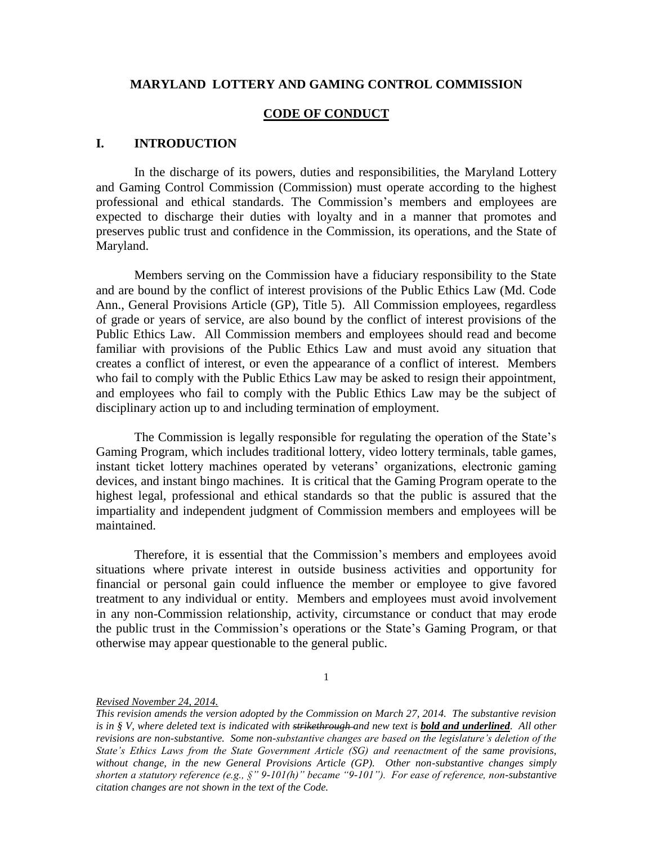#### **MARYLAND LOTTERY AND GAMING CONTROL COMMISSION**

#### **CODE OF CONDUCT**

#### **I. INTRODUCTION**

In the discharge of its powers, duties and responsibilities, the Maryland Lottery and Gaming Control Commission (Commission) must operate according to the highest professional and ethical standards. The Commission's members and employees are expected to discharge their duties with loyalty and in a manner that promotes and preserves public trust and confidence in the Commission, its operations, and the State of Maryland.

Members serving on the Commission have a fiduciary responsibility to the State and are bound by the conflict of interest provisions of the Public Ethics Law (Md. Code Ann., General Provisions Article (GP), Title 5). All Commission employees, regardless of grade or years of service, are also bound by the conflict of interest provisions of the Public Ethics Law. All Commission members and employees should read and become familiar with provisions of the Public Ethics Law and must avoid any situation that creates a conflict of interest, or even the appearance of a conflict of interest. Members who fail to comply with the Public Ethics Law may be asked to resign their appointment, and employees who fail to comply with the Public Ethics Law may be the subject of disciplinary action up to and including termination of employment.

The Commission is legally responsible for regulating the operation of the State's Gaming Program, which includes traditional lottery, video lottery terminals, table games, instant ticket lottery machines operated by veterans' organizations, electronic gaming devices, and instant bingo machines. It is critical that the Gaming Program operate to the highest legal, professional and ethical standards so that the public is assured that the impartiality and independent judgment of Commission members and employees will be maintained.

Therefore, it is essential that the Commission's members and employees avoid situations where private interest in outside business activities and opportunity for financial or personal gain could influence the member or employee to give favored treatment to any individual or entity. Members and employees must avoid involvement in any non-Commission relationship, activity, circumstance or conduct that may erode the public trust in the Commission's operations or the State's Gaming Program, or that otherwise may appear questionable to the general public.

<sup>1</sup>

*This revision amends the version adopted by the Commission on March 27, 2014. The substantive revision is in § V, where deleted text is indicated with strikethrough and new text is <i>bold and underlined*. All other *revisions are non-substantive. Some non-substantive changes are based on the legislature's deletion of the State's Ethics Laws from the State Government Article (SG) and reenactment of the same provisions, without change, in the new General Provisions Article (GP). Other non-substantive changes simply shorten a statutory reference (e.g., §" 9-101(h)" became "9-101"). For ease of reference, non-substantive citation changes are not shown in the text of the Code.*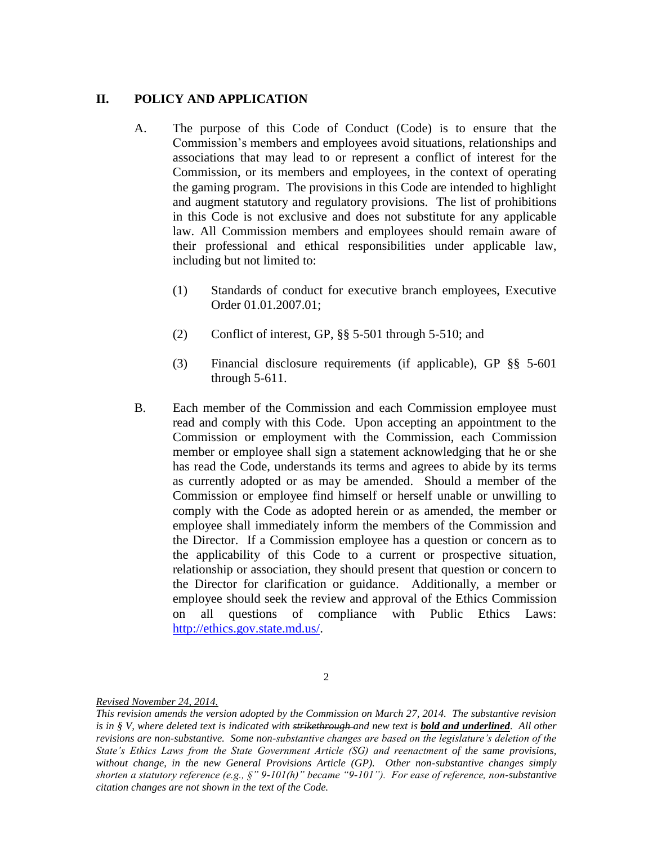# **II. POLICY AND APPLICATION**

- A. The purpose of this Code of Conduct (Code) is to ensure that the Commission's members and employees avoid situations, relationships and associations that may lead to or represent a conflict of interest for the Commission, or its members and employees, in the context of operating the gaming program. The provisions in this Code are intended to highlight and augment statutory and regulatory provisions. The list of prohibitions in this Code is not exclusive and does not substitute for any applicable law. All Commission members and employees should remain aware of their professional and ethical responsibilities under applicable law, including but not limited to:
	- (1) Standards of conduct for executive branch employees, Executive Order 01.01.2007.01;
	- (2) Conflict of interest, GP, §§ 5-501 through 5-510; and
	- (3) Financial disclosure requirements (if applicable), GP §§ 5-601 through 5-611.
- B. Each member of the Commission and each Commission employee must read and comply with this Code. Upon accepting an appointment to the Commission or employment with the Commission, each Commission member or employee shall sign a statement acknowledging that he or she has read the Code, understands its terms and agrees to abide by its terms as currently adopted or as may be amended. Should a member of the Commission or employee find himself or herself unable or unwilling to comply with the Code as adopted herein or as amended, the member or employee shall immediately inform the members of the Commission and the Director. If a Commission employee has a question or concern as to the applicability of this Code to a current or prospective situation, relationship or association, they should present that question or concern to the Director for clarification or guidance. Additionally, a member or employee should seek the review and approval of the Ethics Commission on all questions of compliance with Public Ethics Laws: [http://ethics.gov.state.md.us/.](http://ethics.gov.state.md.us/)

2

*This revision amends the version adopted by the Commission on March 27, 2014. The substantive revision is in § V, where deleted text is indicated with strikethrough and new text is <i>bold and underlined*. All other *revisions are non-substantive. Some non-substantive changes are based on the legislature's deletion of the State's Ethics Laws from the State Government Article (SG) and reenactment of the same provisions, without change, in the new General Provisions Article (GP). Other non-substantive changes simply shorten a statutory reference (e.g., §" 9-101(h)" became "9-101"). For ease of reference, non-substantive citation changes are not shown in the text of the Code.*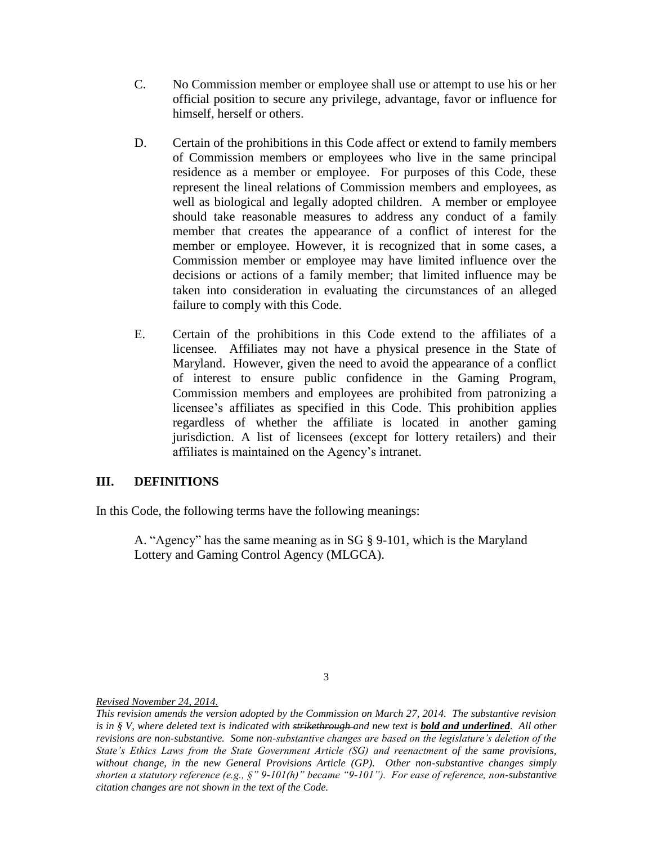- C. No Commission member or employee shall use or attempt to use his or her official position to secure any privilege, advantage, favor or influence for himself, herself or others.
- D. Certain of the prohibitions in this Code affect or extend to family members of Commission members or employees who live in the same principal residence as a member or employee. For purposes of this Code, these represent the lineal relations of Commission members and employees, as well as biological and legally adopted children. A member or employee should take reasonable measures to address any conduct of a family member that creates the appearance of a conflict of interest for the member or employee. However, it is recognized that in some cases, a Commission member or employee may have limited influence over the decisions or actions of a family member; that limited influence may be taken into consideration in evaluating the circumstances of an alleged failure to comply with this Code.
- E. Certain of the prohibitions in this Code extend to the affiliates of a licensee. Affiliates may not have a physical presence in the State of Maryland. However, given the need to avoid the appearance of a conflict of interest to ensure public confidence in the Gaming Program, Commission members and employees are prohibited from patronizing a licensee's affiliates as specified in this Code. This prohibition applies regardless of whether the affiliate is located in another gaming jurisdiction. A list of licensees (except for lottery retailers) and their affiliates is maintained on the Agency's intranet.

# **III. DEFINITIONS**

In this Code, the following terms have the following meanings:

A. "Agency" has the same meaning as in SG § 9-101, which is the Maryland Lottery and Gaming Control Agency (MLGCA).

3

*This revision amends the version adopted by the Commission on March 27, 2014. The substantive revision is in § V, where deleted text is indicated with strikethrough and new text is <i>bold and underlined*. All other *revisions are non-substantive. Some non-substantive changes are based on the legislature's deletion of the State's Ethics Laws from the State Government Article (SG) and reenactment of the same provisions, without change, in the new General Provisions Article (GP). Other non-substantive changes simply shorten a statutory reference (e.g., §" 9-101(h)" became "9-101"). For ease of reference, non-substantive citation changes are not shown in the text of the Code.*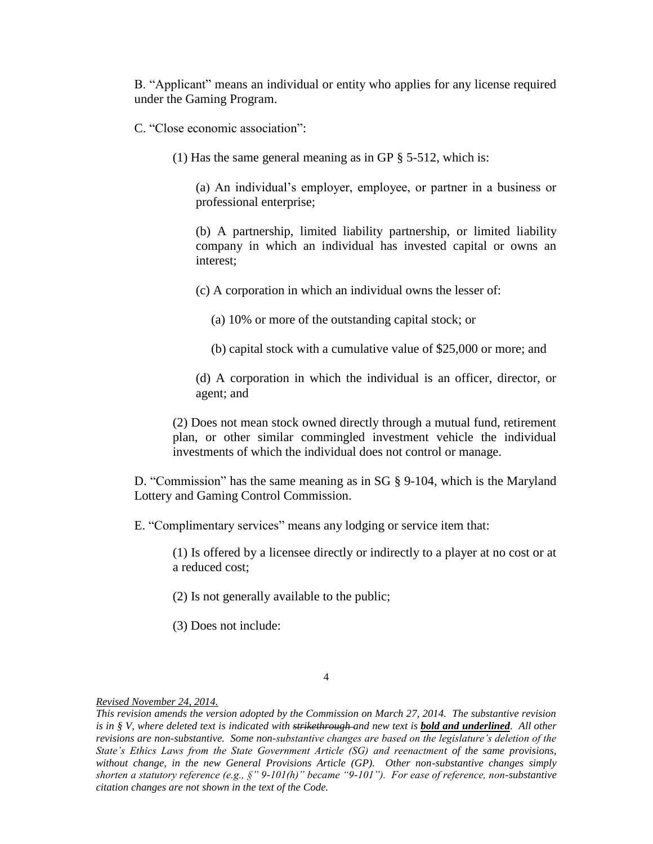B. "Applicant" means an individual or entity who applies for any license required under the Gaming Program.

C. "Close economic association":

(1) Has the same general meaning as in GP § 5-512, which is:

(a) An individual's employer, employee, or partner in a business or professional enterprise;

(b) A partnership, limited liability partnership, or limited liability company in which an individual has invested capital or owns an interest;

(c) A corporation in which an individual owns the lesser of:

(a) 10% or more of the outstanding capital stock; or

(b) capital stock with a cumulative value of \$25,000 or more; and

(d) A corporation in which the individual is an officer, director, or agent; and

(2) Does not mean stock owned directly through a mutual fund, retirement plan, or other similar commingled investment vehicle the individual investments of which the individual does not control or manage.

D. "Commission" has the same meaning as in SG § 9-104, which is the Maryland Lottery and Gaming Control Commission.

E. "Complimentary services" means any lodging or service item that:

(1) Is offered by a licensee directly or indirectly to a player at no cost or at a reduced cost;

(2) Is not generally available to the public;

(3) Does not include:

4

*This revision amends the version adopted by the Commission on March 27, 2014. The substantive revision is in § V, where deleted text is indicated with strikethrough and new text is <i>bold and underlined*. All other *revisions are non-substantive. Some non-substantive changes are based on the legislature's deletion of the State's Ethics Laws from the State Government Article (SG) and reenactment of the same provisions, without change, in the new General Provisions Article (GP). Other non-substantive changes simply shorten a statutory reference (e.g., §" 9-101(h)" became "9-101"). For ease of reference, non-substantive citation changes are not shown in the text of the Code.*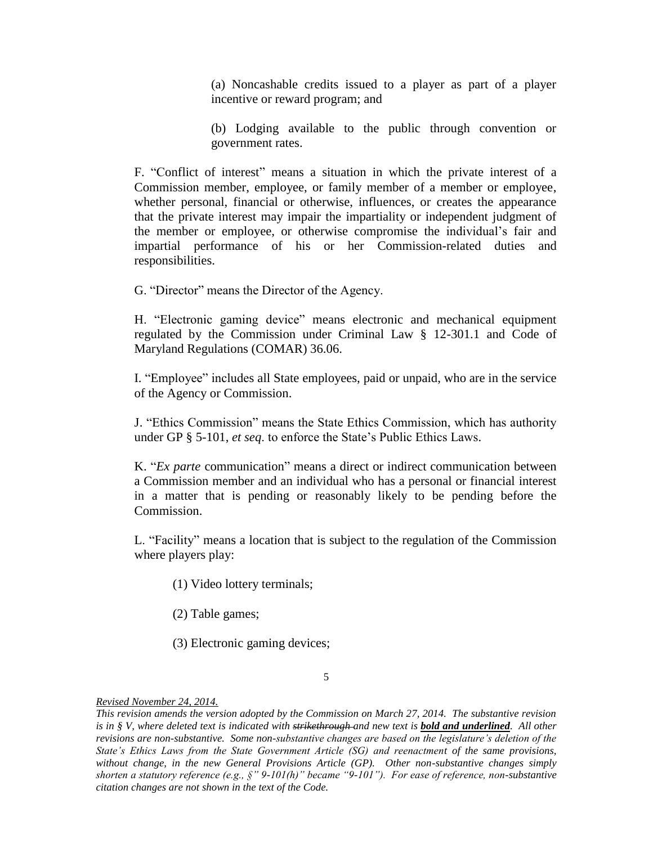(a) Noncashable credits issued to a player as part of a player incentive or reward program; and

(b) Lodging available to the public through convention or government rates.

F. "Conflict of interest" means a situation in which the private interest of a Commission member, employee, or family member of a member or employee, whether personal, financial or otherwise, influences, or creates the appearance that the private interest may impair the impartiality or independent judgment of the member or employee, or otherwise compromise the individual's fair and impartial performance of his or her Commission-related duties and responsibilities.

G. "Director" means the Director of the Agency.

H. "Electronic gaming device" means electronic and mechanical equipment regulated by the Commission under Criminal Law § 12-301.1 and Code of Maryland Regulations (COMAR) 36.06.

I. "Employee" includes all State employees, paid or unpaid, who are in the service of the Agency or Commission.

J. "Ethics Commission" means the State Ethics Commission, which has authority under GP § 5-101, *et seq*. to enforce the State's Public Ethics Laws.

K. "*Ex parte* communication" means a direct or indirect communication between a Commission member and an individual who has a personal or financial interest in a matter that is pending or reasonably likely to be pending before the Commission.

L. "Facility" means a location that is subject to the regulation of the Commission where players play:

- (1) Video lottery terminals;
- (2) Table games;
- (3) Electronic gaming devices;

#### 5

*This revision amends the version adopted by the Commission on March 27, 2014. The substantive revision is in § V, where deleted text is indicated with strikethrough and new text is <i>bold and underlined*. All other *revisions are non-substantive. Some non-substantive changes are based on the legislature's deletion of the State's Ethics Laws from the State Government Article (SG) and reenactment of the same provisions, without change, in the new General Provisions Article (GP). Other non-substantive changes simply shorten a statutory reference (e.g., §" 9-101(h)" became "9-101"). For ease of reference, non-substantive citation changes are not shown in the text of the Code.*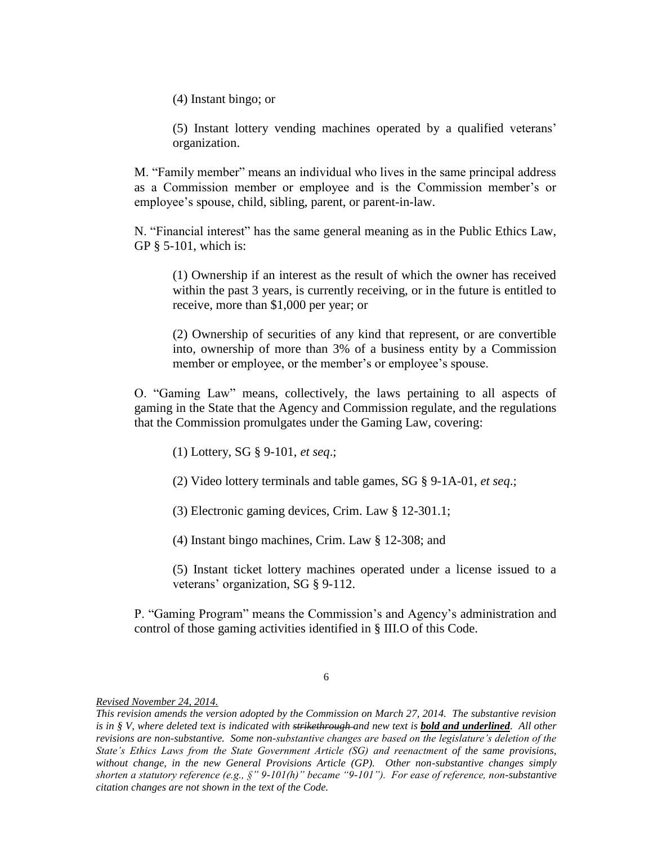(4) Instant bingo; or

(5) Instant lottery vending machines operated by a qualified veterans' organization.

M. "Family member" means an individual who lives in the same principal address as a Commission member or employee and is the Commission member's or employee's spouse, child, sibling, parent, or parent-in-law.

N. "Financial interest" has the same general meaning as in the Public Ethics Law, GP § 5-101, which is:

(1) Ownership if an interest as the result of which the owner has received within the past 3 years, is currently receiving, or in the future is entitled to receive, more than \$1,000 per year; or

(2) Ownership of securities of any kind that represent, or are convertible into, ownership of more than 3% of a business entity by a Commission member or employee, or the member's or employee's spouse.

O. "Gaming Law" means, collectively, the laws pertaining to all aspects of gaming in the State that the Agency and Commission regulate, and the regulations that the Commission promulgates under the Gaming Law, covering:

(1) Lottery, SG § 9-101, *et seq*.;

(2) Video lottery terminals and table games, SG § 9-1A-01, *et seq*.;

(3) Electronic gaming devices, Crim. Law § 12-301.1;

(4) Instant bingo machines, Crim. Law § 12-308; and

(5) Instant ticket lottery machines operated under a license issued to a veterans' organization, SG § 9-112.

P. "Gaming Program" means the Commission's and Agency's administration and control of those gaming activities identified in § III.O of this Code.

6

*This revision amends the version adopted by the Commission on March 27, 2014. The substantive revision is in § V, where deleted text is indicated with strikethrough and new text is <i>bold and underlined*. All other *revisions are non-substantive. Some non-substantive changes are based on the legislature's deletion of the State's Ethics Laws from the State Government Article (SG) and reenactment of the same provisions, without change, in the new General Provisions Article (GP). Other non-substantive changes simply shorten a statutory reference (e.g., §" 9-101(h)" became "9-101"). For ease of reference, non-substantive citation changes are not shown in the text of the Code.*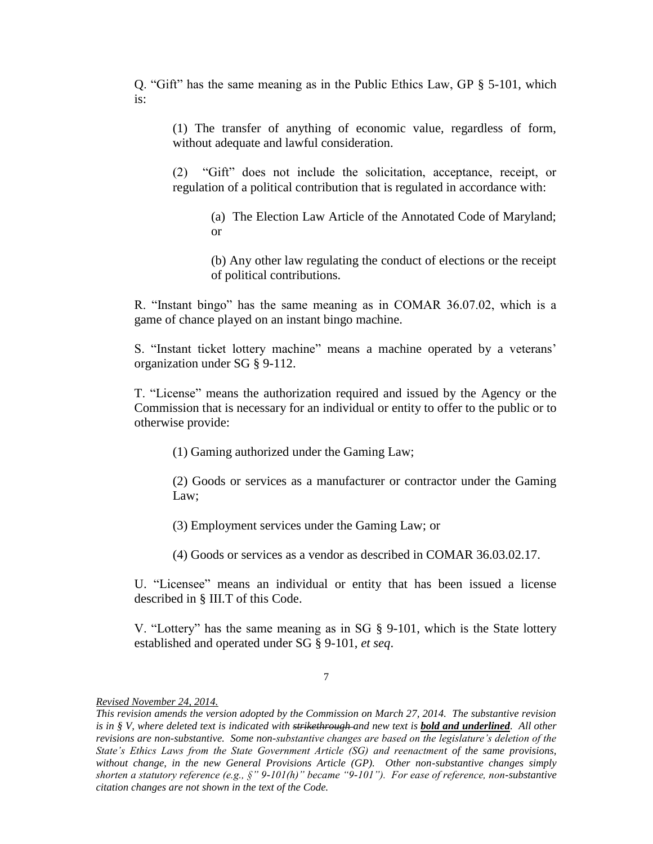Q. "Gift" has the same meaning as in the Public Ethics Law, GP § 5-101, which is:

(1) The transfer of anything of economic value, regardless of form, without adequate and lawful consideration.

(2) "Gift" does not include the solicitation, acceptance, receipt, or regulation of a political contribution that is regulated in accordance with:

(a) The Election Law Article of the Annotated Code of Maryland; or

(b) Any other law regulating the conduct of elections or the receipt of political contributions.

R. "Instant bingo" has the same meaning as in COMAR 36.07.02, which is a game of chance played on an instant bingo machine.

S. "Instant ticket lottery machine" means a machine operated by a veterans' organization under SG § 9-112.

T. "License" means the authorization required and issued by the Agency or the Commission that is necessary for an individual or entity to offer to the public or to otherwise provide:

(1) Gaming authorized under the Gaming Law;

(2) Goods or services as a manufacturer or contractor under the Gaming Law;

(3) Employment services under the Gaming Law; or

(4) Goods or services as a vendor as described in COMAR 36.03.02.17.

U. "Licensee" means an individual or entity that has been issued a license described in § III.T of this Code.

V. "Lottery" has the same meaning as in SG § 9-101, which is the State lottery established and operated under SG § 9-101, *et seq*.

#### 7

*This revision amends the version adopted by the Commission on March 27, 2014. The substantive revision is in § V, where deleted text is indicated with strikethrough and new text is <i>bold and underlined*. All other *revisions are non-substantive. Some non-substantive changes are based on the legislature's deletion of the State's Ethics Laws from the State Government Article (SG) and reenactment of the same provisions, without change, in the new General Provisions Article (GP). Other non-substantive changes simply shorten a statutory reference (e.g., §" 9-101(h)" became "9-101"). For ease of reference, non-substantive citation changes are not shown in the text of the Code.*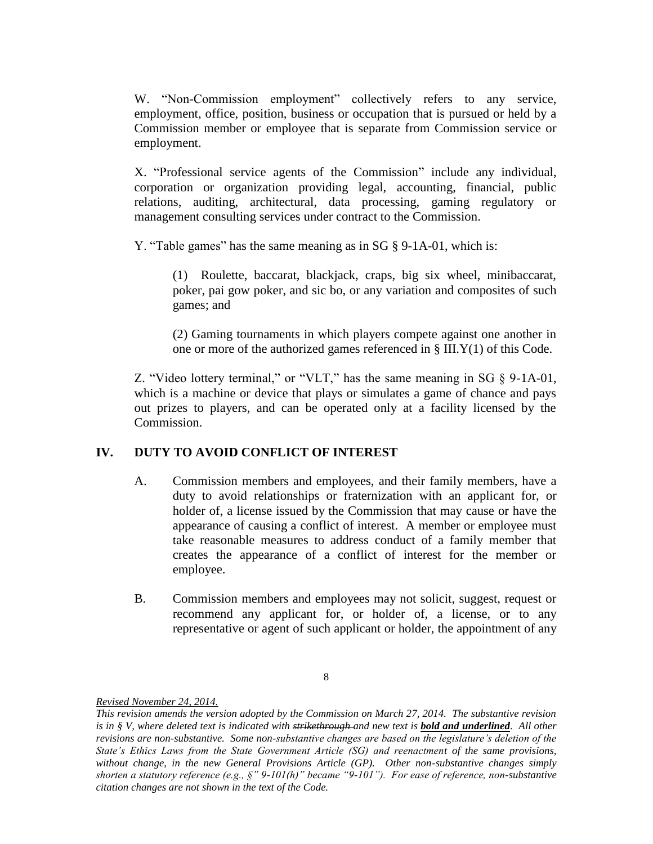W. "Non-Commission employment" collectively refers to any service, employment, office, position, business or occupation that is pursued or held by a Commission member or employee that is separate from Commission service or employment.

X. "Professional service agents of the Commission" include any individual, corporation or organization providing legal, accounting, financial, public relations, auditing, architectural, data processing, gaming regulatory or management consulting services under contract to the Commission.

Y. "Table games" has the same meaning as in SG § 9-1A-01, which is:

(1) Roulette, baccarat, blackjack, craps, big six wheel, minibaccarat, poker, pai gow poker, and sic bo, or any variation and composites of such games; and

(2) Gaming tournaments in which players compete against one another in one or more of the authorized games referenced in § III.Y(1) of this Code.

Z. "Video lottery terminal," or "VLT," has the same meaning in SG § 9-1A-01, which is a machine or device that plays or simulates a game of chance and pays out prizes to players, and can be operated only at a facility licensed by the Commission.

# **IV. DUTY TO AVOID CONFLICT OF INTEREST**

- A. Commission members and employees, and their family members, have a duty to avoid relationships or fraternization with an applicant for, or holder of, a license issued by the Commission that may cause or have the appearance of causing a conflict of interest. A member or employee must take reasonable measures to address conduct of a family member that creates the appearance of a conflict of interest for the member or employee.
- B. Commission members and employees may not solicit, suggest, request or recommend any applicant for, or holder of, a license, or to any representative or agent of such applicant or holder, the appointment of any

<sup>8</sup>

*This revision amends the version adopted by the Commission on March 27, 2014. The substantive revision is in § V, where deleted text is indicated with strikethrough and new text is <i>bold and underlined*. All other *revisions are non-substantive. Some non-substantive changes are based on the legislature's deletion of the State's Ethics Laws from the State Government Article (SG) and reenactment of the same provisions, without change, in the new General Provisions Article (GP). Other non-substantive changes simply shorten a statutory reference (e.g., §" 9-101(h)" became "9-101"). For ease of reference, non-substantive citation changes are not shown in the text of the Code.*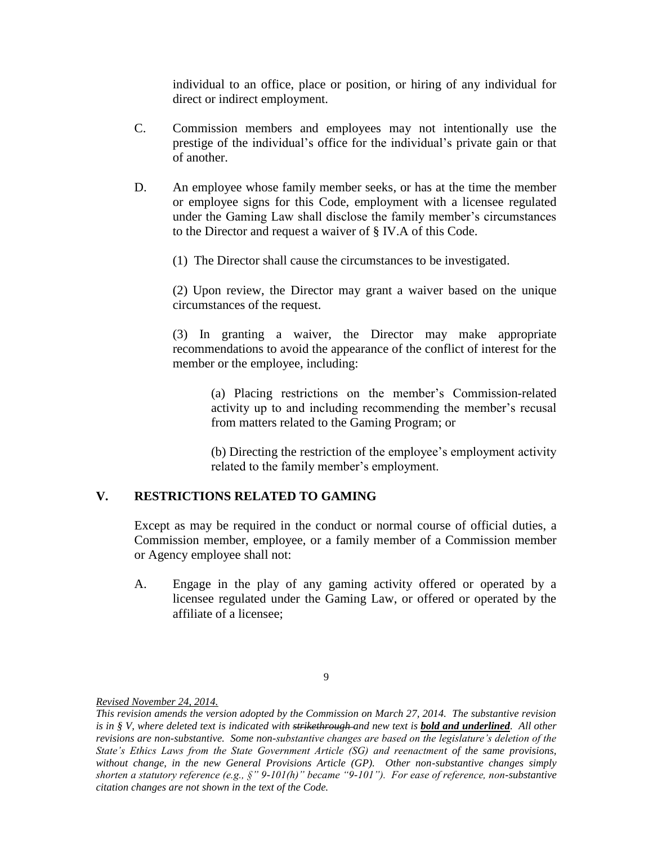individual to an office, place or position, or hiring of any individual for direct or indirect employment.

- C. Commission members and employees may not intentionally use the prestige of the individual's office for the individual's private gain or that of another.
- D. An employee whose family member seeks, or has at the time the member or employee signs for this Code, employment with a licensee regulated under the Gaming Law shall disclose the family member's circumstances to the Director and request a waiver of § IV.A of this Code.
	- (1) The Director shall cause the circumstances to be investigated.

(2) Upon review, the Director may grant a waiver based on the unique circumstances of the request.

(3) In granting a waiver, the Director may make appropriate recommendations to avoid the appearance of the conflict of interest for the member or the employee, including:

> (a) Placing restrictions on the member's Commission-related activity up to and including recommending the member's recusal from matters related to the Gaming Program; or

> (b) Directing the restriction of the employee's employment activity related to the family member's employment.

# **V. RESTRICTIONS RELATED TO GAMING**

Except as may be required in the conduct or normal course of official duties, a Commission member, employee, or a family member of a Commission member or Agency employee shall not:

A. Engage in the play of any gaming activity offered or operated by a licensee regulated under the Gaming Law, or offered or operated by the affiliate of a licensee;

<sup>9</sup>

*This revision amends the version adopted by the Commission on March 27, 2014. The substantive revision is in § V, where deleted text is indicated with strikethrough and new text is <i>bold and underlined*. All other *revisions are non-substantive. Some non-substantive changes are based on the legislature's deletion of the State's Ethics Laws from the State Government Article (SG) and reenactment of the same provisions, without change, in the new General Provisions Article (GP). Other non-substantive changes simply shorten a statutory reference (e.g., §" 9-101(h)" became "9-101"). For ease of reference, non-substantive citation changes are not shown in the text of the Code.*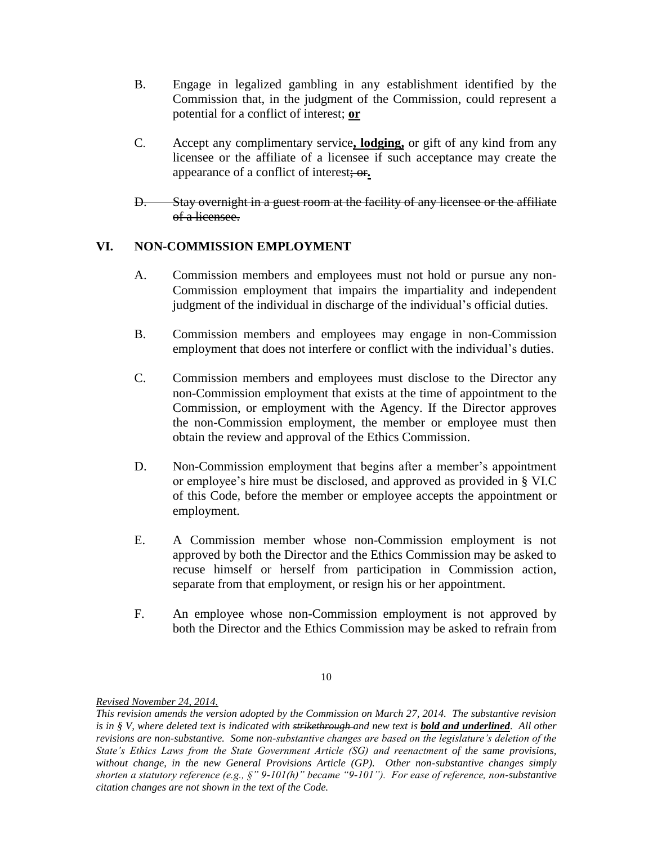- B. Engage in legalized gambling in any establishment identified by the Commission that, in the judgment of the Commission, could represent a potential for a conflict of interest; **or**
- C. Accept any complimentary service**, lodging,** or gift of any kind from any licensee or the affiliate of a licensee if such acceptance may create the appearance of a conflict of interest; or**.**
- D. Stay overnight in a guest room at the facility of any licensee or the affiliate of a licensee.

# **VI. NON-COMMISSION EMPLOYMENT**

- A. Commission members and employees must not hold or pursue any non-Commission employment that impairs the impartiality and independent judgment of the individual in discharge of the individual's official duties.
- B. Commission members and employees may engage in non-Commission employment that does not interfere or conflict with the individual's duties.
- C. Commission members and employees must disclose to the Director any non-Commission employment that exists at the time of appointment to the Commission, or employment with the Agency. If the Director approves the non-Commission employment, the member or employee must then obtain the review and approval of the Ethics Commission.
- D. Non-Commission employment that begins after a member's appointment or employee's hire must be disclosed, and approved as provided in § VI.C of this Code, before the member or employee accepts the appointment or employment.
- E. A Commission member whose non-Commission employment is not approved by both the Director and the Ethics Commission may be asked to recuse himself or herself from participation in Commission action, separate from that employment, or resign his or her appointment.
- F. An employee whose non-Commission employment is not approved by both the Director and the Ethics Commission may be asked to refrain from

*This revision amends the version adopted by the Commission on March 27, 2014. The substantive revision is in § V, where deleted text is indicated with strikethrough and new text is <i>bold and underlined*. All other *revisions are non-substantive. Some non-substantive changes are based on the legislature's deletion of the State's Ethics Laws from the State Government Article (SG) and reenactment of the same provisions, without change, in the new General Provisions Article (GP). Other non-substantive changes simply shorten a statutory reference (e.g., §" 9-101(h)" became "9-101"). For ease of reference, non-substantive citation changes are not shown in the text of the Code.*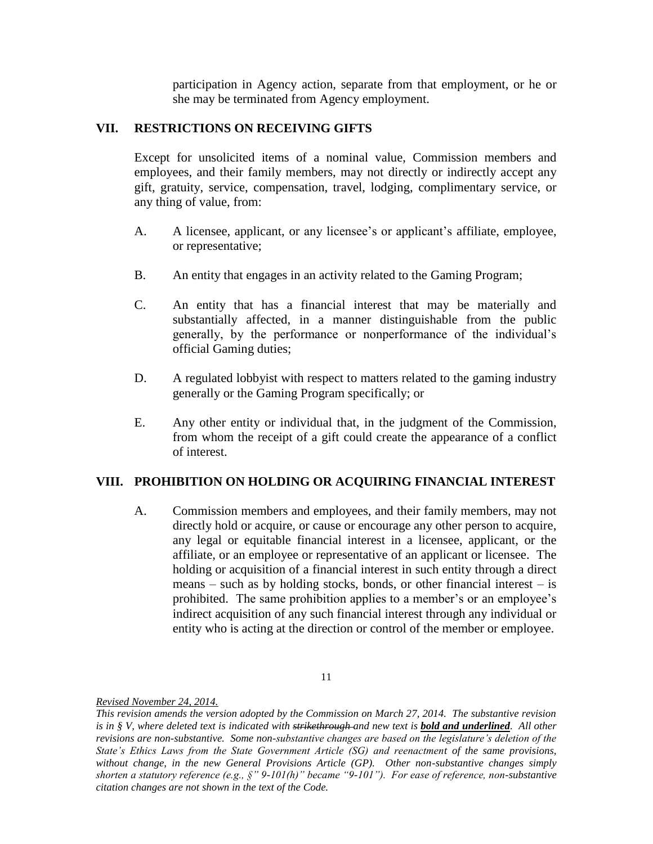participation in Agency action, separate from that employment, or he or she may be terminated from Agency employment.

## **VII. RESTRICTIONS ON RECEIVING GIFTS**

Except for unsolicited items of a nominal value, Commission members and employees, and their family members, may not directly or indirectly accept any gift, gratuity, service, compensation, travel, lodging, complimentary service, or any thing of value, from:

- A. A licensee, applicant, or any licensee's or applicant's affiliate, employee, or representative;
- B. An entity that engages in an activity related to the Gaming Program;
- C. An entity that has a financial interest that may be materially and substantially affected, in a manner distinguishable from the public generally, by the performance or nonperformance of the individual's official Gaming duties;
- D. A regulated lobbyist with respect to matters related to the gaming industry generally or the Gaming Program specifically; or
- E. Any other entity or individual that, in the judgment of the Commission, from whom the receipt of a gift could create the appearance of a conflict of interest.

#### **VIII. PROHIBITION ON HOLDING OR ACQUIRING FINANCIAL INTEREST**

A. Commission members and employees, and their family members, may not directly hold or acquire, or cause or encourage any other person to acquire, any legal or equitable financial interest in a licensee, applicant, or the affiliate, or an employee or representative of an applicant or licensee. The holding or acquisition of a financial interest in such entity through a direct means – such as by holding stocks, bonds, or other financial interest – is prohibited. The same prohibition applies to a member's or an employee's indirect acquisition of any such financial interest through any individual or entity who is acting at the direction or control of the member or employee.

*This revision amends the version adopted by the Commission on March 27, 2014. The substantive revision is in § V, where deleted text is indicated with strikethrough and new text is <i>bold and underlined*. All other *revisions are non-substantive. Some non-substantive changes are based on the legislature's deletion of the State's Ethics Laws from the State Government Article (SG) and reenactment of the same provisions, without change, in the new General Provisions Article (GP). Other non-substantive changes simply shorten a statutory reference (e.g., §" 9-101(h)" became "9-101"). For ease of reference, non-substantive citation changes are not shown in the text of the Code.*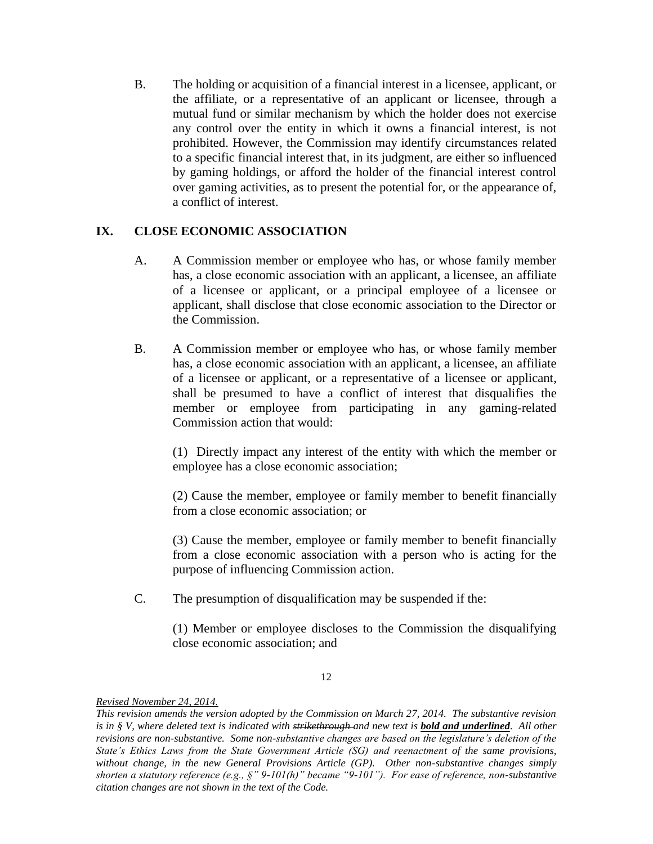B. The holding or acquisition of a financial interest in a licensee, applicant, or the affiliate, or a representative of an applicant or licensee, through a mutual fund or similar mechanism by which the holder does not exercise any control over the entity in which it owns a financial interest, is not prohibited. However, the Commission may identify circumstances related to a specific financial interest that, in its judgment, are either so influenced by gaming holdings, or afford the holder of the financial interest control over gaming activities, as to present the potential for, or the appearance of, a conflict of interest.

# **IX. CLOSE ECONOMIC ASSOCIATION**

- A. A Commission member or employee who has, or whose family member has, a close economic association with an applicant, a licensee, an affiliate of a licensee or applicant, or a principal employee of a licensee or applicant, shall disclose that close economic association to the Director or the Commission.
- B. A Commission member or employee who has, or whose family member has, a close economic association with an applicant, a licensee, an affiliate of a licensee or applicant, or a representative of a licensee or applicant, shall be presumed to have a conflict of interest that disqualifies the member or employee from participating in any gaming-related Commission action that would:

(1) Directly impact any interest of the entity with which the member or employee has a close economic association;

(2) Cause the member, employee or family member to benefit financially from a close economic association; or

(3) Cause the member, employee or family member to benefit financially from a close economic association with a person who is acting for the purpose of influencing Commission action.

C. The presumption of disqualification may be suspended if the:

(1) Member or employee discloses to the Commission the disqualifying close economic association; and

<sup>12</sup>

*Revised November 24, 2014.* 

*This revision amends the version adopted by the Commission on March 27, 2014. The substantive revision is in § V, where deleted text is indicated with strikethrough and new text is <i>bold and underlined*. All other *revisions are non-substantive. Some non-substantive changes are based on the legislature's deletion of the State's Ethics Laws from the State Government Article (SG) and reenactment of the same provisions, without change, in the new General Provisions Article (GP). Other non-substantive changes simply shorten a statutory reference (e.g., §" 9-101(h)" became "9-101"). For ease of reference, non-substantive citation changes are not shown in the text of the Code.*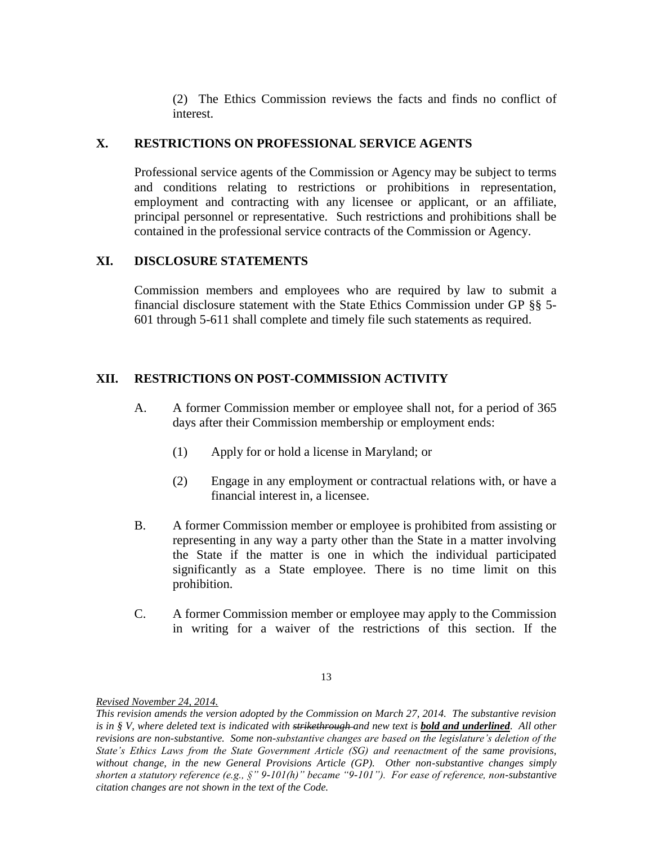(2) The Ethics Commission reviews the facts and finds no conflict of interest.

### **X. RESTRICTIONS ON PROFESSIONAL SERVICE AGENTS**

Professional service agents of the Commission or Agency may be subject to terms and conditions relating to restrictions or prohibitions in representation, employment and contracting with any licensee or applicant, or an affiliate, principal personnel or representative. Such restrictions and prohibitions shall be contained in the professional service contracts of the Commission or Agency.

### **XI. DISCLOSURE STATEMENTS**

Commission members and employees who are required by law to submit a financial disclosure statement with the State Ethics Commission under GP §§ 5- 601 through 5-611 shall complete and timely file such statements as required.

# **XII. RESTRICTIONS ON POST-COMMISSION ACTIVITY**

- A. A former Commission member or employee shall not, for a period of 365 days after their Commission membership or employment ends:
	- (1) Apply for or hold a license in Maryland; or
	- (2) Engage in any employment or contractual relations with, or have a financial interest in, a licensee.
- B. A former Commission member or employee is prohibited from assisting or representing in any way a party other than the State in a matter involving the State if the matter is one in which the individual participated significantly as a State employee. There is no time limit on this prohibition.
- C. A former Commission member or employee may apply to the Commission in writing for a waiver of the restrictions of this section. If the

*This revision amends the version adopted by the Commission on March 27, 2014. The substantive revision is in § V, where deleted text is indicated with strikethrough and new text is <i>bold and underlined*. All other *revisions are non-substantive. Some non-substantive changes are based on the legislature's deletion of the State's Ethics Laws from the State Government Article (SG) and reenactment of the same provisions, without change, in the new General Provisions Article (GP). Other non-substantive changes simply shorten a statutory reference (e.g., §" 9-101(h)" became "9-101"). For ease of reference, non-substantive citation changes are not shown in the text of the Code.*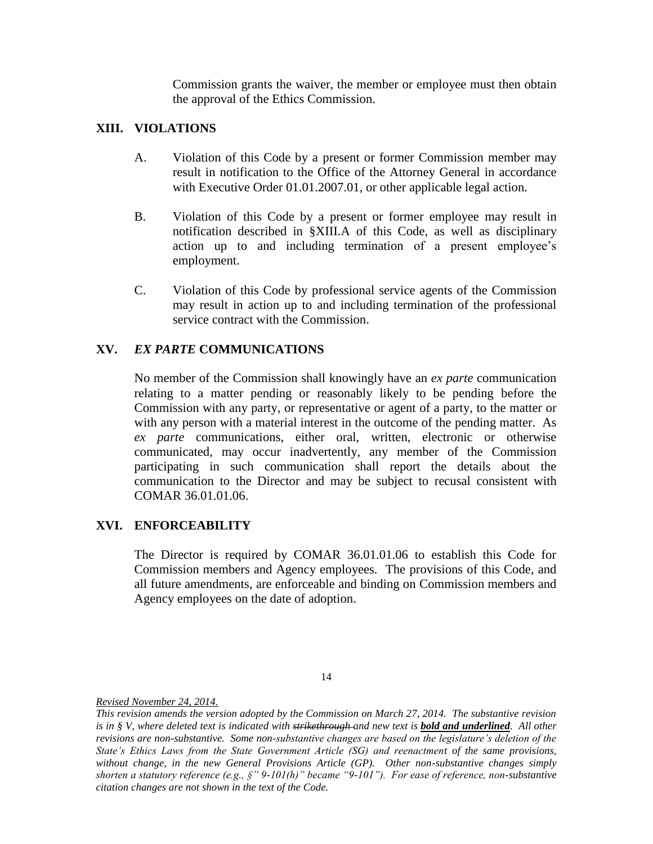Commission grants the waiver, the member or employee must then obtain the approval of the Ethics Commission.

# **XIII. VIOLATIONS**

- A. Violation of this Code by a present or former Commission member may result in notification to the Office of the Attorney General in accordance with Executive Order 01.01.2007.01, or other applicable legal action.
- B. Violation of this Code by a present or former employee may result in notification described in §XIII.A of this Code, as well as disciplinary action up to and including termination of a present employee's employment.
- C. Violation of this Code by professional service agents of the Commission may result in action up to and including termination of the professional service contract with the Commission.

# **XV.** *EX PARTE* **COMMUNICATIONS**

No member of the Commission shall knowingly have an *ex parte* communication relating to a matter pending or reasonably likely to be pending before the Commission with any party, or representative or agent of a party, to the matter or with any person with a material interest in the outcome of the pending matter. As *ex parte* communications, either oral, written, electronic or otherwise communicated, may occur inadvertently, any member of the Commission participating in such communication shall report the details about the communication to the Director and may be subject to recusal consistent with COMAR 36.01.01.06.

# **XVI. ENFORCEABILITY**

The Director is required by COMAR 36.01.01.06 to establish this Code for Commission members and Agency employees. The provisions of this Code, and all future amendments, are enforceable and binding on Commission members and Agency employees on the date of adoption.

<sup>14</sup>

*This revision amends the version adopted by the Commission on March 27, 2014. The substantive revision is in § V, where deleted text is indicated with strikethrough and new text is <i>bold and underlined*. All other *revisions are non-substantive. Some non-substantive changes are based on the legislature's deletion of the State's Ethics Laws from the State Government Article (SG) and reenactment of the same provisions, without change, in the new General Provisions Article (GP). Other non-substantive changes simply shorten a statutory reference (e.g., §" 9-101(h)" became "9-101"). For ease of reference, non-substantive citation changes are not shown in the text of the Code.*